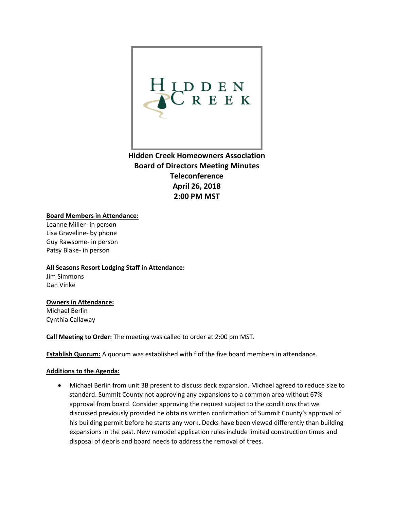

**Hidden Creek Homeowners Association Board of Directors Meeting Minutes Teleconference April 26, 2018 2:00 PM MST**

### **Board Members in Attendance:**

Leanne Miller- in person Lisa Graveline- by phone Guy Rawsome- in person Patsy Blake- in person

#### **All Seasons Resort Lodging Staff in Attendance:**

Jim Simmons Dan Vinke

# **Owners in Attendance:**

Michael Berlin Cynthia Callaway

**Call Meeting to Order:** The meeting was called to order at 2:00 pm MST.

**Establish Quorum:** A quorum was established with f of the five board members in attendance.

### **Additions to the Agenda:**

• Michael Berlin from unit 3B present to discuss deck expansion. Michael agreed to reduce size to standard. Summit County not approving any expansions to a common area without 67% approval from board. Consider approving the request subject to the conditions that we discussed previously provided he obtains written confirmation of Summit County's approval of his building permit before he starts any work. Decks have been viewed differently than building expansions in the past. New remodel application rules include limited construction times and disposal of debris and board needs to address the removal of trees.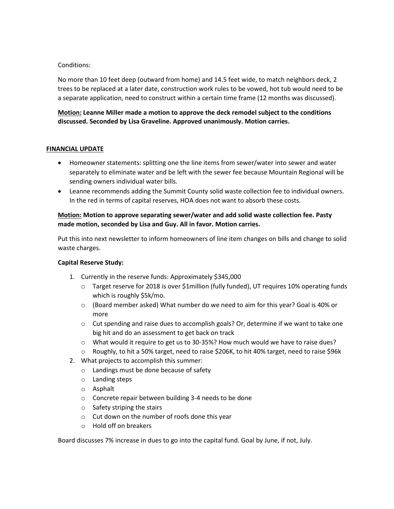### Conditions:

No more than 10 feet deep (outward from home) and 14.5 feet wide, to match neighbors deck, 2 trees to be replaced at a later date, construction work rules to be vowed, hot tub would need to be a separate application, need to construct within a certain time frame (12 months was discussed).

### **Motion: Leanne Miller made a motion to approve the deck remodel subject to the conditions discussed. Seconded by Lisa Graveline. Approved unanimously. Motion carries.**

### **FINANCIAL UPDATE**

- Homeowner statements: splitting one the line items from sewer/water into sewer and water separately to eliminate water and be left with the sewer fee because Mountain Regional will be sending owners individual water bills.
- Leanne recommends adding the Summit County solid waste collection fee to individual owners. In the red in terms of capital reserves, HOA does not want to absorb these costs.

### **Motion: Motion to approve separating sewer/water and add solid waste collection fee. Pasty made motion, seconded by Lisa and Guy. All in favor. Motion carries.**

Put this into next newsletter to inform homeowners of line item changes on bills and change to solid waste charges.

### **Capital Reserve Study:**

- 1. Currently in the reserve funds: Approximately \$345,000
	- o Target reserve for 2018 is over \$1million (fully funded), UT requires 10% operating funds which is roughly \$5k/mo.
	- $\circ$  (Board member asked) What number do we need to aim for this year? Goal is 40% or more
	- $\circ$  Cut spending and raise dues to accomplish goals? Or, determine if we want to take one big hit and do an assessment to get back on track
	- o What would it require to get us to 30-35%? How much would we have to raise dues?
	- o Roughly, to hit a 50% target, need to raise \$206K, to hit 40% target, need to raise \$96k
- 2. What projects to accomplish this summer:
	- o Landings must be done because of safety
	- o Landing steps
	- o Asphalt
	- o Concrete repair between building 3-4 needs to be done
	- o Safety striping the stairs
	- o Cut down on the number of roofs done this year
	- o Hold off on breakers

Board discusses 7% increase in dues to go into the capital fund. Goal by June, if not, July.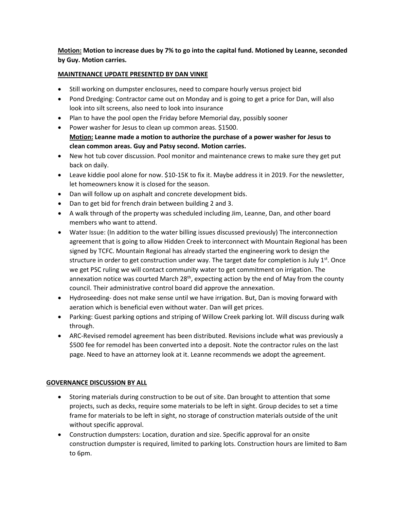**Motion: Motion to increase dues by 7% to go into the capital fund. Motioned by Leanne, seconded by Guy. Motion carries.** 

### **MAINTENANCE UPDATE PRESENTED BY DAN VINKE**

- Still working on dumpster enclosures, need to compare hourly versus project bid
- Pond Dredging: Contractor came out on Monday and is going to get a price for Dan, will also look into silt screens, also need to look into insurance
- Plan to have the pool open the Friday before Memorial day, possibly sooner
- Power washer for Jesus to clean up common areas. \$1500. **Motion: Leanne made a motion to authorize the purchase of a power washer for Jesus to clean common areas. Guy and Patsy second. Motion carries.**
- New hot tub cover discussion. Pool monitor and maintenance crews to make sure they get put back on daily.
- Leave kiddie pool alone for now. \$10-15K to fix it. Maybe address it in 2019. For the newsletter, let homeowners know it is closed for the season.
- Dan will follow up on asphalt and concrete development bids.
- Dan to get bid for french drain between building 2 and 3.
- A walk through of the property was scheduled including Jim, Leanne, Dan, and other board members who want to attend.
- Water Issue: (In addition to the water billing issues discussed previously) The interconnection agreement that is going to allow Hidden Creek to interconnect with Mountain Regional has been signed by TCFC. Mountain Regional has already started the engineering work to design the structure in order to get construction under way. The target date for completion is July  $1^{st}$ . Once we get PSC ruling we will contact community water to get commitment on irrigation. The annexation notice was courted March  $28<sup>th</sup>$ , expecting action by the end of May from the county council. Their administrative control board did approve the annexation.
- Hydroseeding- does not make sense until we have irrigation. But, Dan is moving forward with aeration which is beneficial even without water. Dan will get prices.
- Parking: Guest parking options and striping of Willow Creek parking lot. Will discuss during walk through.
- ARC-Revised remodel agreement has been distributed. Revisions include what was previously a \$500 fee for remodel has been converted into a deposit. Note the contractor rules on the last page. Need to have an attorney look at it. Leanne recommends we adopt the agreement.

### **GOVERNANCE DISCUSSION BY ALL**

- Storing materials during construction to be out of site. Dan brought to attention that some projects, such as decks, require some materials to be left in sight. Group decides to set a time frame for materials to be left in sight, no storage of construction materials outside of the unit without specific approval.
- Construction dumpsters: Location, duration and size. Specific approval for an onsite construction dumpster is required, limited to parking lots. Construction hours are limited to 8am to 6pm.